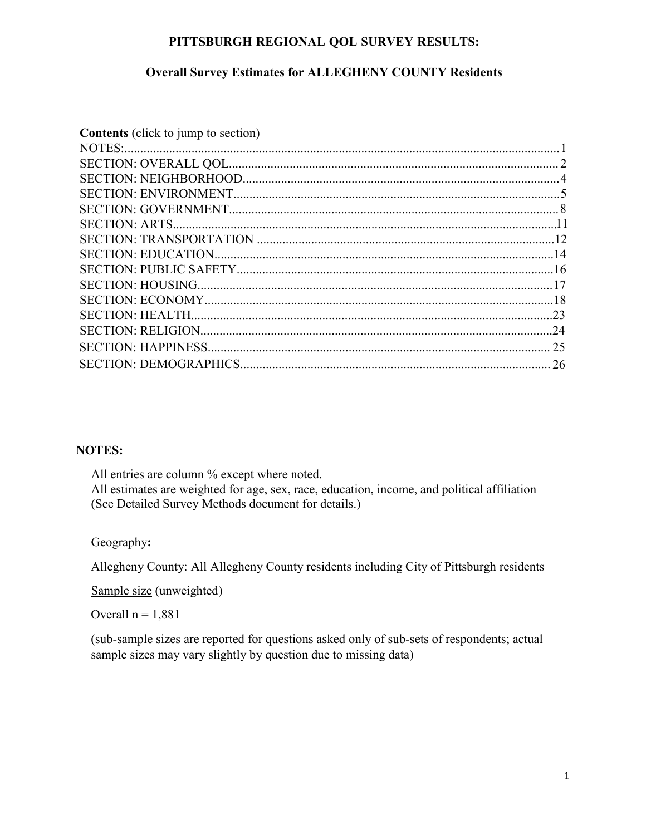### **PITTSBURGH REGIONAL QOL SURVEY RESULTS:**

## **Overall Survey Estimates for ALLEGHENY COUNTY Residents**

| <b>Contents</b> (click to jump to section) |  |
|--------------------------------------------|--|
|                                            |  |
|                                            |  |
|                                            |  |
|                                            |  |
|                                            |  |
|                                            |  |
|                                            |  |
|                                            |  |
|                                            |  |
|                                            |  |
|                                            |  |
|                                            |  |
|                                            |  |
|                                            |  |
|                                            |  |
|                                            |  |

#### **NOTES:**

All entries are column % except where noted. All estimates are weighted for age, sex, race, education, income, and political affiliation (See Detailed Survey Methods document for details.)

### Geography**:**

Allegheny County: All Allegheny County residents including City of Pittsburgh residents

Sample size (unweighted)

Overall  $n = 1,881$ 

(sub-sample sizes are reported for questions asked only of sub-sets of respondents; actual sample sizes may vary slightly by question due to missing data)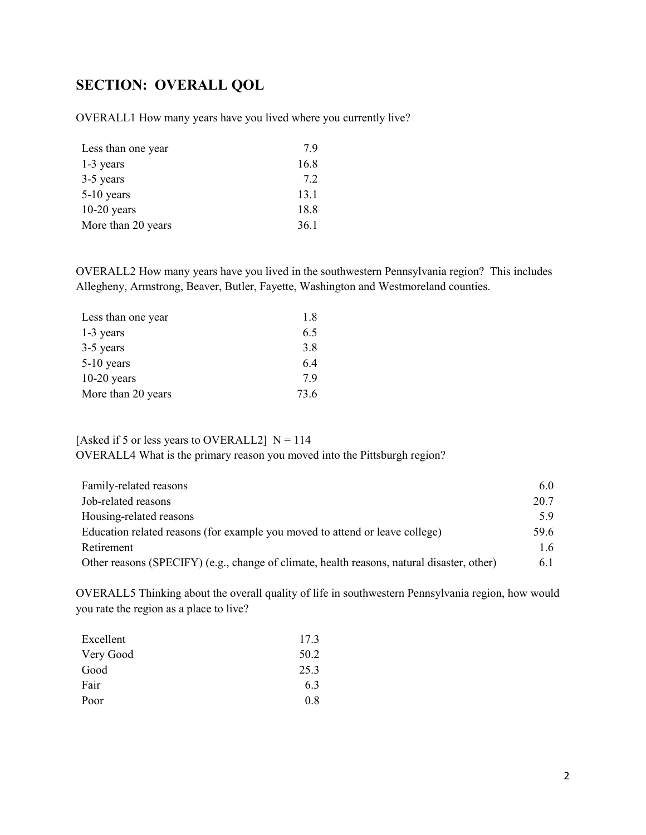# <span id="page-1-0"></span>**SECTION: OVERALL QOL**

OVERALL1 How many years have you lived where you currently live?

| Less than one year | 7.9  |
|--------------------|------|
| $1-3$ years        | 16.8 |
| 3-5 years          | 7.2  |
| $5-10$ years       | 13.1 |
| $10-20$ years      | 18.8 |
| More than 20 years | 36.1 |

OVERALL2 How many years have you lived in the southwestern Pennsylvania region? This includes Allegheny, Armstrong, Beaver, Butler, Fayette, Washington and Westmoreland counties.

| Less than one year | 1.8  |
|--------------------|------|
| 1-3 years          | 6.5  |
| 3-5 years          | 3.8  |
| $5-10$ years       | 6.4  |
| $10-20$ years      | 7.9  |
| More than 20 years | 73.6 |

[Asked if 5 or less years to OVERALL2]  $N = 114$ OVERALL4 What is the primary reason you moved into the Pittsburgh region?

| Family-related reasons                                                                     | 6.0           |
|--------------------------------------------------------------------------------------------|---------------|
| Job-related reasons                                                                        | 20.7          |
| Housing-related reasons                                                                    | 5.9           |
| Education related reasons (for example you moved to attend or leave college)               | 59.6          |
| Retirement                                                                                 | $1.6^{\circ}$ |
| Other reasons (SPECIFY) (e.g., change of climate, health reasons, natural disaster, other) | 6.1           |

OVERALL5 Thinking about the overall quality of life in southwestern Pennsylvania region, how would you rate the region as a place to live?

| 17.3 |
|------|
| 50.2 |
| 25.3 |
| 6.3  |
| 0.8  |
|      |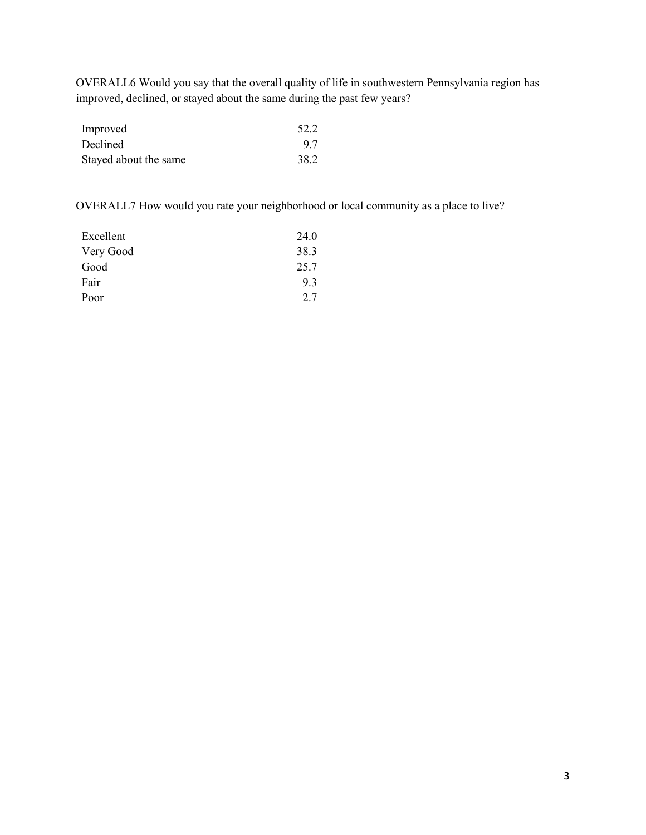OVERALL6 Would you say that the overall quality of life in southwestern Pennsylvania region has improved, declined, or stayed about the same during the past few years?

| Improved              | 52.2 |
|-----------------------|------|
| Declined              | 9.7  |
| Stayed about the same | 38.2 |

OVERALL7 How would you rate your neighborhood or local community as a place to live?

| 24.0 |
|------|
| 38.3 |
| 25.7 |
| 9.3  |
| 2.7  |
|      |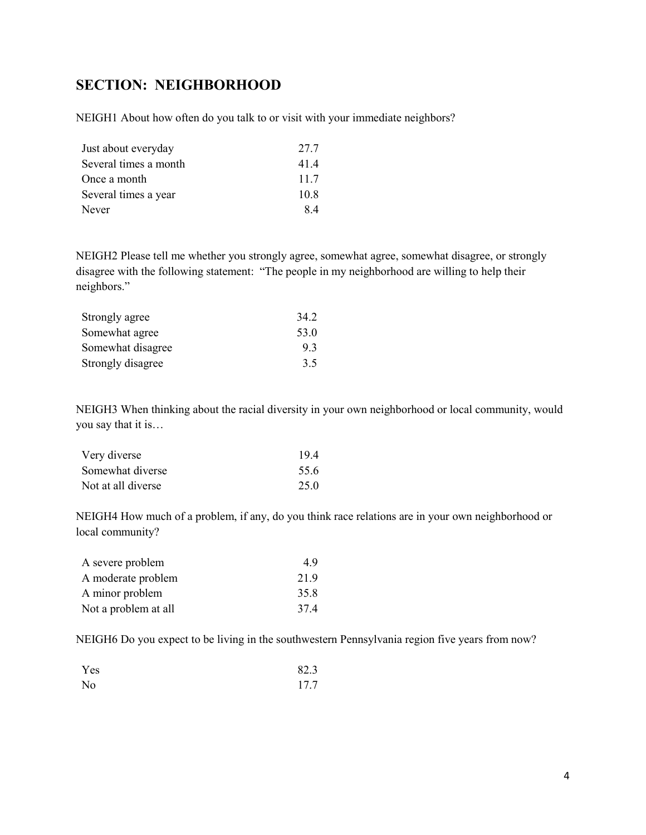# <span id="page-3-0"></span>**SECTION: NEIGHBORHOOD**

NEIGH1 About how often do you talk to or visit with your immediate neighbors?

| Just about everyday   | 27.7 |
|-----------------------|------|
| Several times a month | 41.4 |
| Once a month          | 11.7 |
| Several times a year  | 10.8 |
| Never                 | 8.4  |

NEIGH2 Please tell me whether you strongly agree, somewhat agree, somewhat disagree, or strongly disagree with the following statement: "The people in my neighborhood are willing to help their neighbors."

| Strongly agree    | 34.2 |
|-------------------|------|
| Somewhat agree    | 53.0 |
| Somewhat disagree | 9.3  |
| Strongly disagree | 3.5  |

NEIGH3 When thinking about the racial diversity in your own neighborhood or local community, would you say that it is…

| Very diverse       | 19.4 |
|--------------------|------|
| Somewhat diverse   | 55.6 |
| Not at all diverse | 25.0 |

NEIGH4 How much of a problem, if any, do you think race relations are in your own neighborhood or local community?

| A severe problem     | 4.9  |
|----------------------|------|
| A moderate problem   | 21.9 |
| A minor problem      | 35.8 |
| Not a problem at all | 37.4 |

NEIGH6 Do you expect to be living in the southwestern Pennsylvania region five years from now?

| Yes            | 82.3 |
|----------------|------|
| N <sub>o</sub> | 17.7 |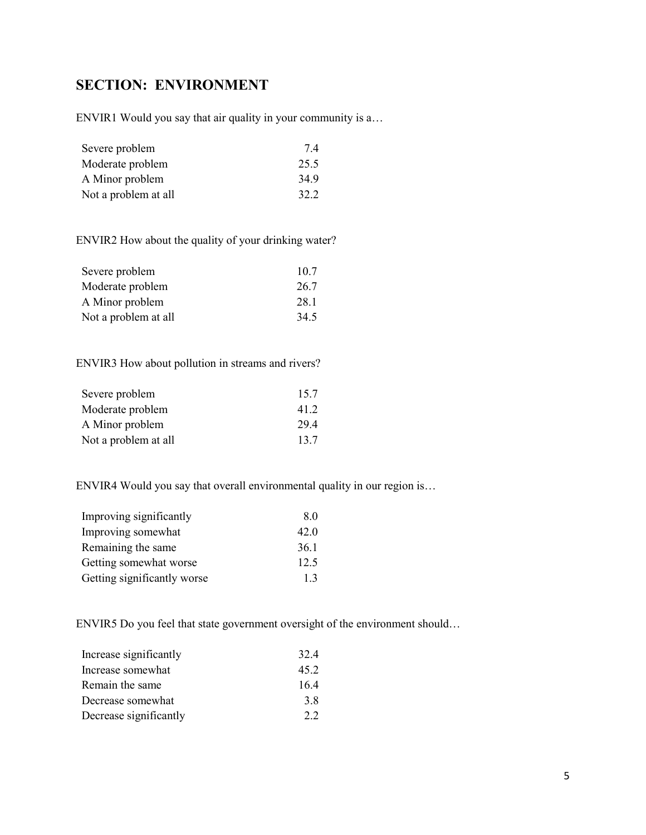# <span id="page-4-0"></span>**SECTION: ENVIRONMENT**

ENVIR1 Would you say that air quality in your community is a…

| Severe problem       | 7.4  |
|----------------------|------|
| Moderate problem     | 25.5 |
| A Minor problem      | 34.9 |
| Not a problem at all | 32.2 |

ENVIR2 How about the quality of your drinking water?

| Severe problem       | 10.7 |
|----------------------|------|
| Moderate problem     | 26.7 |
| A Minor problem      | 28.1 |
| Not a problem at all | 34.5 |

ENVIR3 How about pollution in streams and rivers?

| Severe problem       | 15.7 |
|----------------------|------|
| Moderate problem     | 41.2 |
| A Minor problem      | 29.4 |
| Not a problem at all | 13.7 |

ENVIR4 Would you say that overall environmental quality in our region is…

| Improving significantly     | 8.0  |
|-----------------------------|------|
| Improving somewhat          | 42.0 |
| Remaining the same          | 36.1 |
| Getting somewhat worse      | 12.5 |
| Getting significantly worse | 1.3  |

ENVIR5 Do you feel that state government oversight of the environment should…

| Increase significantly | 32.4 |
|------------------------|------|
| Increase somewhat      | 45.2 |
| Remain the same        | 16.4 |
| Decrease somewhat      | 3.8  |
| Decrease significantly | 2.2  |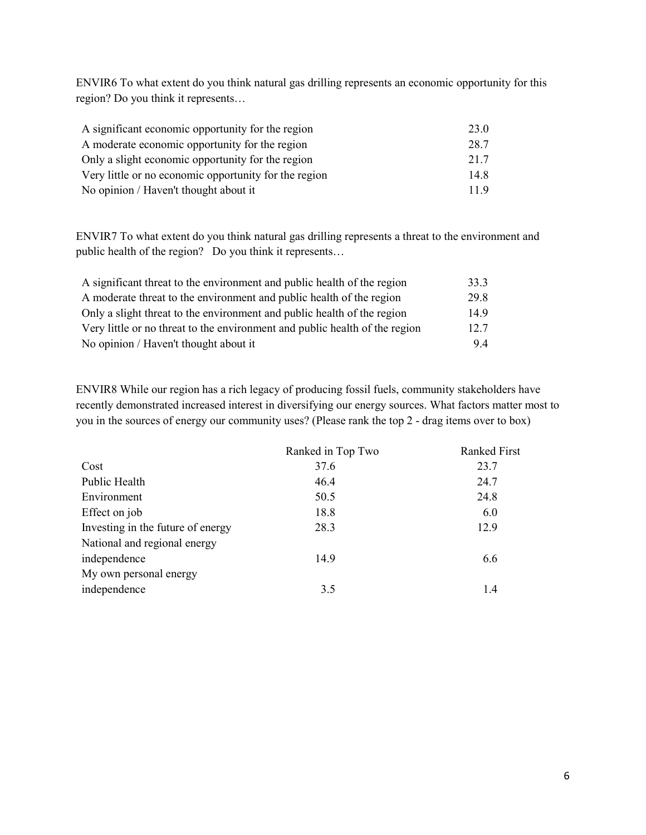ENVIR6 To what extent do you think natural gas drilling represents an economic opportunity for this region? Do you think it represents…

| A significant economic opportunity for the region     | 23.0 |
|-------------------------------------------------------|------|
| A moderate economic opportunity for the region        | 28.7 |
| Only a slight economic opportunity for the region     | 21.7 |
| Very little or no economic opportunity for the region | 14.8 |
| No opinion / Haven't thought about it                 | 11.9 |

ENVIR7 To what extent do you think natural gas drilling represents a threat to the environment and public health of the region? Do you think it represents…

| A significant threat to the environment and public health of the region     | 33.3 |
|-----------------------------------------------------------------------------|------|
| A moderate threat to the environment and public health of the region        | 29.8 |
| Only a slight threat to the environment and public health of the region     | 14.9 |
| Very little or no threat to the environment and public health of the region | 12.7 |
| No opinion / Haven't thought about it                                       | 9.4  |

ENVIR8 While our region has a rich legacy of producing fossil fuels, community stakeholders have recently demonstrated increased interest in diversifying our energy sources. What factors matter most to you in the sources of energy our community uses? (Please rank the top 2 - drag items over to box)

|                                   | Ranked in Top Two | <b>Ranked First</b> |
|-----------------------------------|-------------------|---------------------|
| Cost                              | 37.6              | 23.7                |
| Public Health                     | 46.4              | 24.7                |
| Environment                       | 50.5              | 24.8                |
| Effect on job                     | 18.8              | 6.0                 |
| Investing in the future of energy | 28.3              | 12.9                |
| National and regional energy      |                   |                     |
| independence                      | 14.9              | 6.6                 |
| My own personal energy            |                   |                     |
| independence                      | 3.5               | 1.4                 |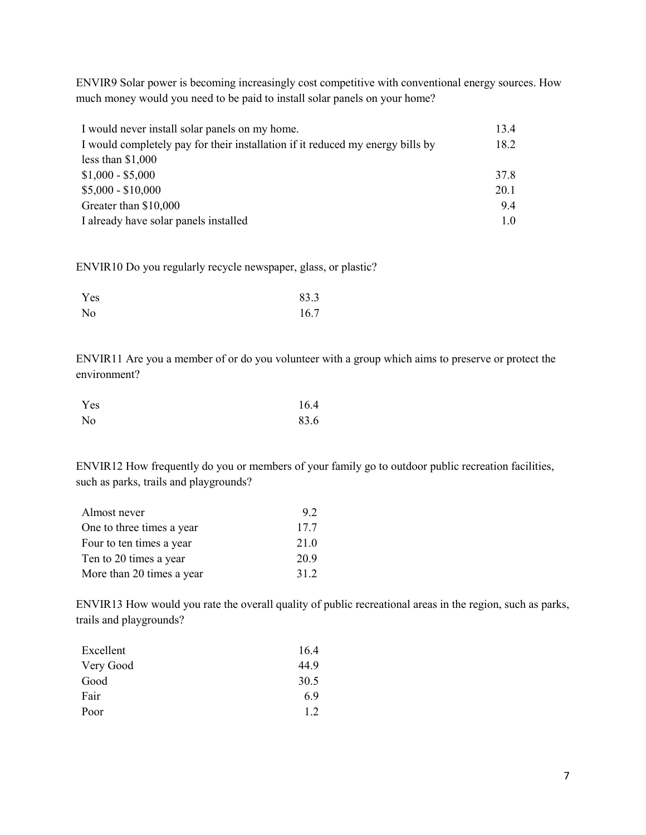ENVIR9 Solar power is becoming increasingly cost competitive with conventional energy sources. How much money would you need to be paid to install solar panels on your home?

| I would never install solar panels on my home.                                 | 13.4 |
|--------------------------------------------------------------------------------|------|
| I would completely pay for their installation if it reduced my energy bills by | 18.2 |
| less than $$1,000$                                                             |      |
| $$1,000 - $5,000$                                                              | 37.8 |
| $$5,000 - $10,000$                                                             | 20.1 |
| Greater than \$10,000                                                          | 9.4  |
| I already have solar panels installed                                          | 1.0  |

ENVIR10 Do you regularly recycle newspaper, glass, or plastic?

| Yes            | 83.3 |
|----------------|------|
| N <sub>o</sub> | 16.7 |

ENVIR11 Are you a member of or do you volunteer with a group which aims to preserve or protect the environment?

| Yes            | 16.4 |
|----------------|------|
| N <sub>o</sub> | 83.6 |

ENVIR12 How frequently do you or members of your family go to outdoor public recreation facilities, such as parks, trails and playgrounds?

| Almost never              | 9.2  |
|---------------------------|------|
| One to three times a year | 17.7 |
| Four to ten times a year  | 21.0 |
| Ten to 20 times a year    | 20.9 |
| More than 20 times a year | 31.2 |

ENVIR13 How would you rate the overall quality of public recreational areas in the region, such as parks, trails and playgrounds?

| Excellent | 16.4 |
|-----------|------|
| Very Good | 44.9 |
| Good      | 30.5 |
| Fair      | 6.9  |
| Poor      | 1.2  |
|           |      |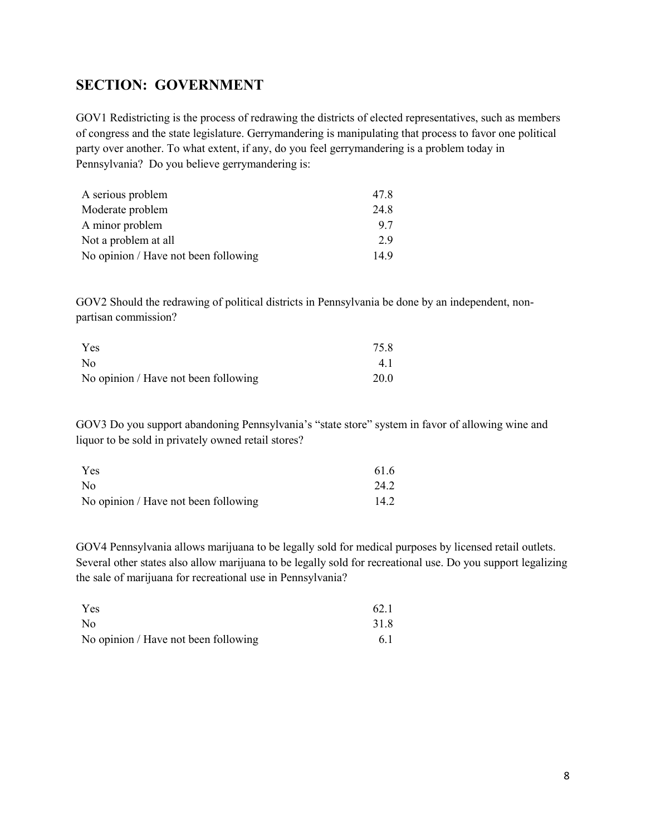## <span id="page-7-0"></span>**SECTION: GOVERNMENT**

GOV1 Redistricting is the process of redrawing the districts of elected representatives, such as members of congress and the state legislature. Gerrymandering is manipulating that process to favor one political party over another. To what extent, if any, do you feel gerrymandering is a problem today in Pennsylvania? Do you believe gerrymandering is:

| A serious problem                    | 47.8 |
|--------------------------------------|------|
| Moderate problem                     | 24.8 |
| A minor problem                      | 9.7  |
| Not a problem at all                 | 2.9  |
| No opinion / Have not been following | 14.9 |

GOV2 Should the redrawing of political districts in Pennsylvania be done by an independent, nonpartisan commission?

| Yes                                  | 75.8 |
|--------------------------------------|------|
| N <sub>0</sub>                       | 4.1  |
| No opinion / Have not been following | 20.0 |

GOV3 Do you support abandoning Pennsylvania's "state store" system in favor of allowing wine and liquor to be sold in privately owned retail stores?

| Yes                                  | 61.6 |
|--------------------------------------|------|
| N <sub>0</sub>                       | 24.2 |
| No opinion / Have not been following | 14.2 |

GOV4 Pennsylvania allows marijuana to be legally sold for medical purposes by licensed retail outlets. Several other states also allow marijuana to be legally sold for recreational use. Do you support legalizing the sale of marijuana for recreational use in Pennsylvania?

| Yes                                  | 62.1 |
|--------------------------------------|------|
| N <sub>0</sub>                       | 31.8 |
| No opinion / Have not been following | 6.1  |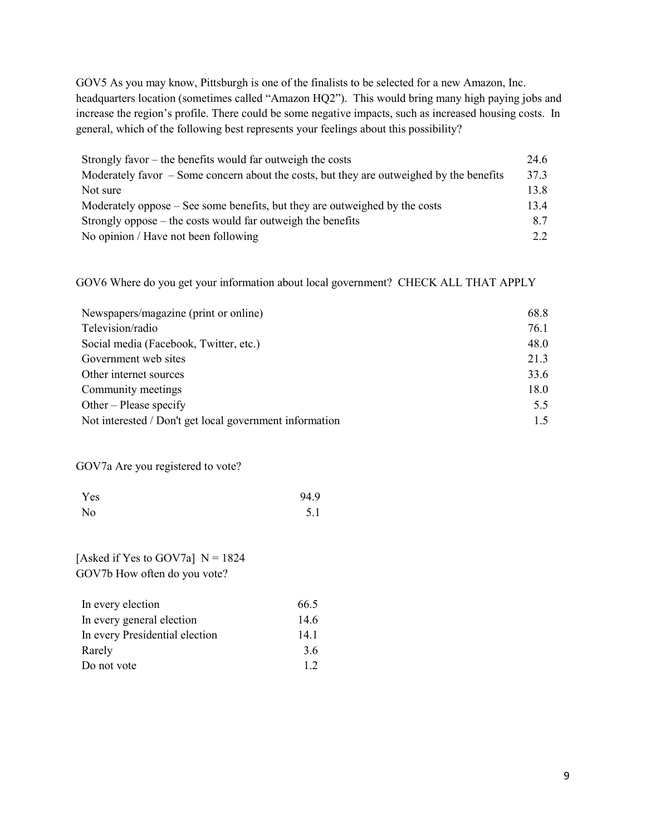GOV5 As you may know, Pittsburgh is one of the finalists to be selected for a new Amazon, Inc. headquarters location (sometimes called "Amazon HQ2"). This would bring many high paying jobs and increase the region's profile. There could be some negative impacts, such as increased housing costs. In general, which of the following best represents your feelings about this possibility?

| Strongly favor – the benefits would far outweigh the costs                                 | 24.6 |
|--------------------------------------------------------------------------------------------|------|
| Moderately favor $-$ Some concern about the costs, but they are outweighed by the benefits | 37.3 |
| Not sure                                                                                   | 13.8 |
| Moderately oppose – See some benefits, but they are outweighed by the costs                | 13.4 |
| Strongly oppose $-$ the costs would far outweigh the benefits                              | 8.7  |
| No opinion / Have not been following                                                       | 2.2  |

GOV6 Where do you get your information about local government? CHECK ALL THAT APPLY

| Newspapers/magazine (print or online)                   | 68.8 |
|---------------------------------------------------------|------|
| Television/radio                                        | 76.1 |
| Social media (Facebook, Twitter, etc.)                  | 48.0 |
| Government web sites                                    | 21.3 |
| Other internet sources                                  | 33.6 |
| Community meetings                                      | 18.0 |
| Other – Please specify                                  | 5.5  |
| Not interested / Don't get local government information | 1.5  |

GOV7a Are you registered to vote?

| Yes | 94.9 |
|-----|------|
| No  | 5.1  |

[Asked if Yes to GOV7a]  $N = 1824$ GOV7b How often do you vote?

| In every election              | 66.5 |
|--------------------------------|------|
| In every general election      | 14.6 |
| In every Presidential election | 14.1 |
| Rarely                         | 3.6  |
| Do not vote                    | 12   |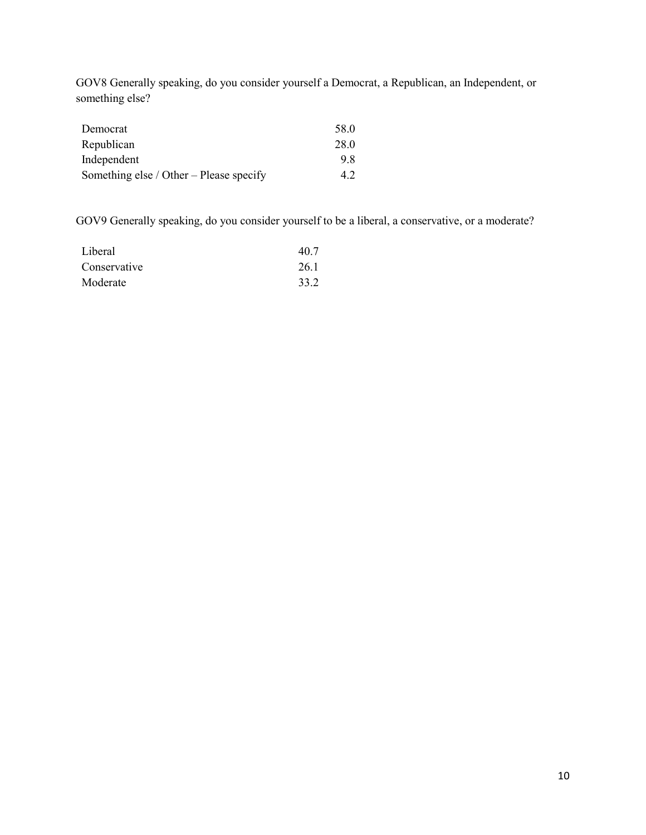GOV8 Generally speaking, do you consider yourself a Democrat, a Republican, an Independent, or something else?

| Democrat                                | 58.0 |
|-----------------------------------------|------|
| Republican                              | 28.0 |
| Independent                             | 9.8  |
| Something else / Other – Please specify | 42   |

GOV9 Generally speaking, do you consider yourself to be a liberal, a conservative, or a moderate?

| Liberal      | 40.7 |
|--------------|------|
| Conservative | 26.1 |
| Moderate     | 33.2 |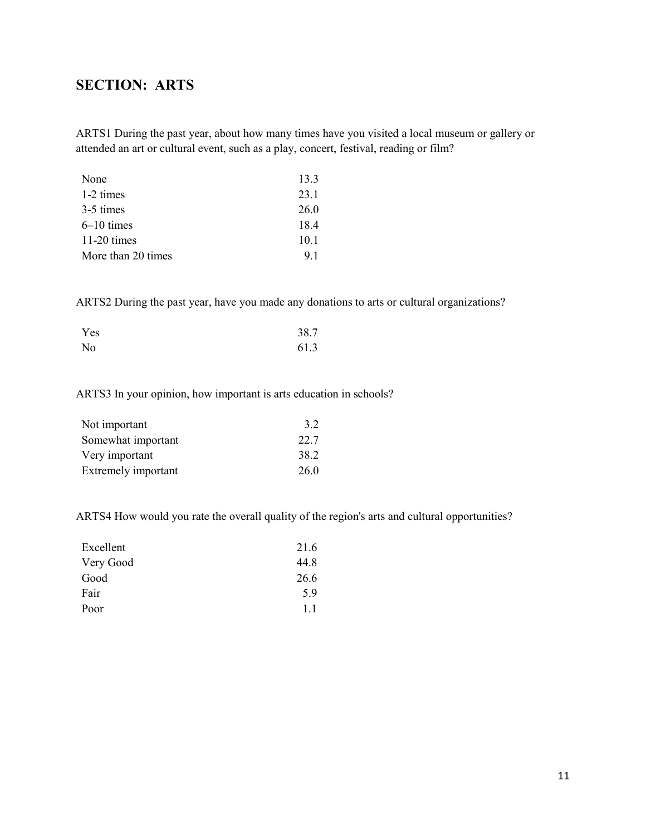# <span id="page-10-0"></span>**SECTION: ARTS**

ARTS1 During the past year, about how many times have you visited a local museum or gallery or attended an art or cultural event, such as a play, concert, festival, reading or film?

| None               | 13.3 |
|--------------------|------|
| 1-2 times          | 23.1 |
| 3-5 times          | 26.0 |
| $6-10$ times       | 18.4 |
| $11-20$ times      | 10.1 |
| More than 20 times | 9.1  |

ARTS2 During the past year, have you made any donations to arts or cultural organizations?

| Yes | 38.7 |
|-----|------|
| No  | 61.3 |

#### ARTS3 In your opinion, how important is arts education in schools?

| Not important       | 3.2  |
|---------------------|------|
| Somewhat important  | 22.7 |
| Very important      | 38.2 |
| Extremely important | 26.0 |

ARTS4 How would you rate the overall quality of the region's arts and cultural opportunities?

| 21.6 |
|------|
| 44.8 |
| 26.6 |
| 5.9  |
| 1.1  |
|      |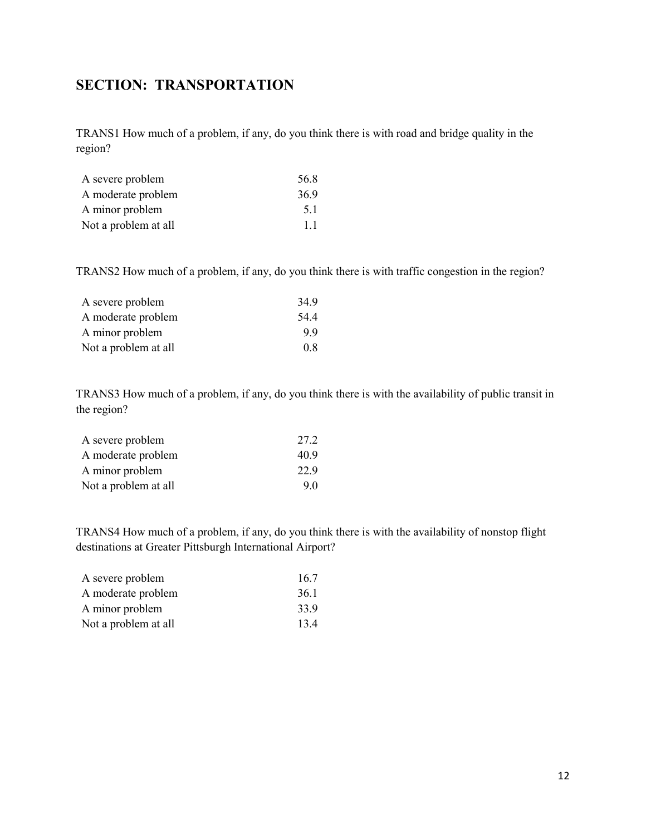## <span id="page-11-0"></span>**SECTION: TRANSPORTATION**

TRANS1 How much of a problem, if any, do you think there is with road and bridge quality in the region?

| A severe problem     | 56.8 |
|----------------------|------|
| A moderate problem   | 36.9 |
| A minor problem      | 5.1  |
| Not a problem at all | 1.1  |

TRANS2 How much of a problem, if any, do you think there is with traffic congestion in the region?

| A severe problem     | 34.9 |
|----------------------|------|
| A moderate problem   | 54.4 |
| A minor problem      | 9.9  |
| Not a problem at all | 0.8  |

TRANS3 How much of a problem, if any, do you think there is with the availability of public transit in the region?

| A severe problem     | 27.2 |
|----------------------|------|
| A moderate problem   | 40.9 |
| A minor problem      | 22.9 |
| Not a problem at all | 9.0  |

TRANS4 How much of a problem, if any, do you think there is with the availability of nonstop flight destinations at Greater Pittsburgh International Airport?

| A severe problem     | 16.7 |
|----------------------|------|
| A moderate problem   | 36.1 |
| A minor problem      | 33.9 |
| Not a problem at all | 13.4 |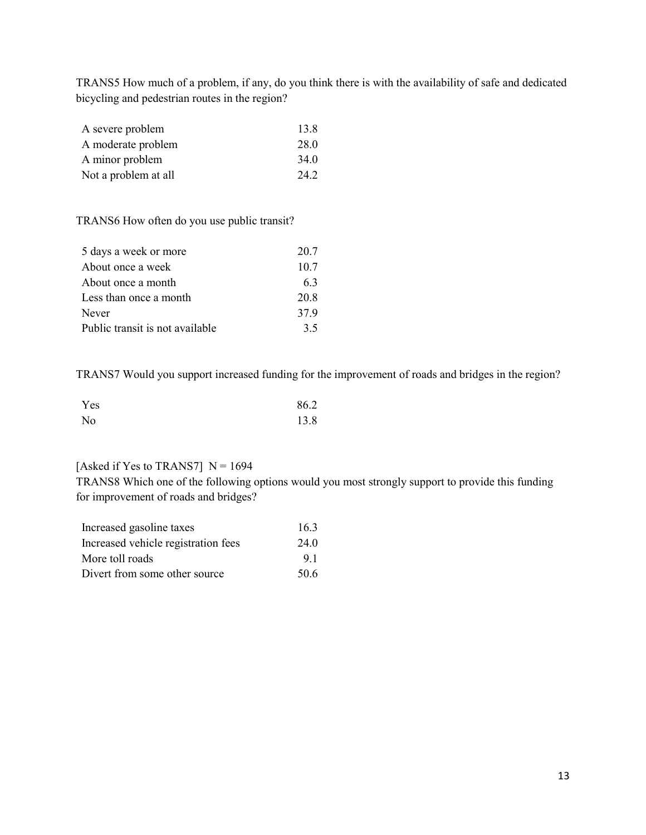TRANS5 How much of a problem, if any, do you think there is with the availability of safe and dedicated bicycling and pedestrian routes in the region?

| A severe problem     | 13.8 |
|----------------------|------|
| A moderate problem   | 28.0 |
| A minor problem      | 34.0 |
| Not a problem at all | 24.2 |

TRANS6 How often do you use public transit?

| 5 days a week or more           | 20.7 |
|---------------------------------|------|
| About once a week               | 10.7 |
| About once a month              | 63   |
| Less than once a month          | 20.8 |
| Never                           | 37.9 |
| Public transit is not available | 35   |

TRANS7 Would you support increased funding for the improvement of roads and bridges in the region?

| Yes | 86.2 |
|-----|------|
| No  | 13.8 |

### [Asked if Yes to TRANS7]  $N = 1694$

TRANS8 Which one of the following options would you most strongly support to provide this funding for improvement of roads and bridges?

| Increased gasoline taxes            | 16.3 |
|-------------------------------------|------|
| Increased vehicle registration fees | 24.0 |
| More toll roads                     | 9.1  |
| Divert from some other source       | 50.6 |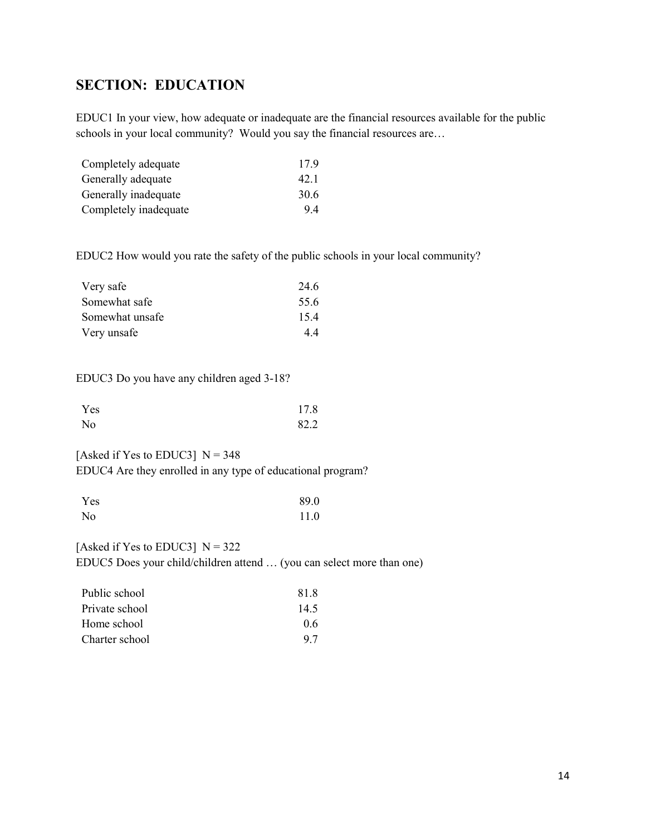# <span id="page-13-0"></span>**SECTION: EDUCATION**

EDUC1 In your view, how adequate or inadequate are the financial resources available for the public schools in your local community? Would you say the financial resources are...

| Completely adequate   | 17.9 |  |
|-----------------------|------|--|
| Generally adequate    | 42.1 |  |
| Generally inadequate  | 30.6 |  |
| Completely inadequate | 9.4  |  |

EDUC2 How would you rate the safety of the public schools in your local community?

| Very safe       | 24.6 |
|-----------------|------|
| Somewhat safe   | 55.6 |
| Somewhat unsafe | 15.4 |
| Very unsafe     | 4.4  |

EDUC3 Do you have any children aged 3-18?

| Yes            | 17.8 |
|----------------|------|
| N <sub>o</sub> | 82.2 |

[Asked if Yes to EDUC3]  $N = 348$ EDUC4 Are they enrolled in any type of educational program?

| Yes            | 89.0 |
|----------------|------|
| N <sub>o</sub> | 11.0 |

[Asked if Yes to EDUC3]  $N = 322$ EDUC5 Does your child/children attend … (you can select more than one)

| Public school  | 81.8 |
|----------------|------|
| Private school | 14.5 |
| Home school    | 0.6  |
| Charter school | 9.7  |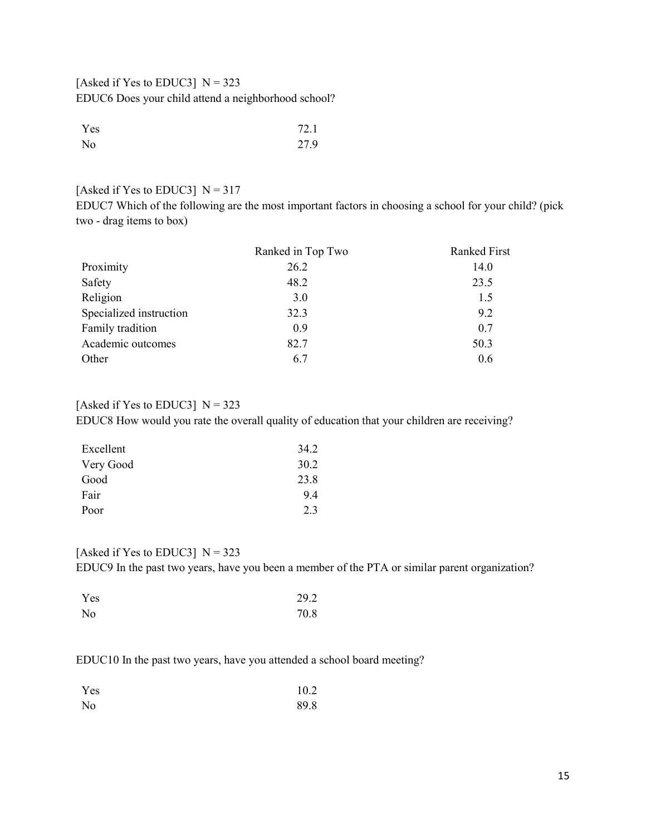[Asked if Yes to EDUC3]  $N = 323$ EDUC6 Does your child attend a neighborhood school?

| Yes | 72.1 |
|-----|------|
| No  | 27.9 |

#### [Asked if Yes to EDUC3]  $N = 317$

EDUC7 Which of the following are the most important factors in choosing a school for your child? (pick two - drag items to box)

|                         | Ranked in Top Two | <b>Ranked First</b> |
|-------------------------|-------------------|---------------------|
| Proximity               | 26.2              | 14.0                |
| Safety                  | 48.2              | 23.5                |
| Religion                | 3.0               | 1.5                 |
| Specialized instruction | 32.3              | 9.2                 |
| Family tradition        | 0.9               | 0.7                 |
| Academic outcomes       | 82.7              | 50.3                |
| Other                   | 6.7               | 0.6                 |

#### [Asked if Yes to EDUC3]  $N = 323$

EDUC8 How would you rate the overall quality of education that your children are receiving?

| 34.2 |
|------|
| 30.2 |
| 23.8 |
| 9.4  |
| 2.3  |
|      |

#### [Asked if Yes to EDUC3]  $N = 323$

EDUC9 In the past two years, have you been a member of the PTA or similar parent organization?

| Yes            | 29.2 |
|----------------|------|
| N <sub>o</sub> | 70.8 |

### EDUC10 In the past two years, have you attended a school board meeting?

| Yes | 10.2 |
|-----|------|
| No  | 89.8 |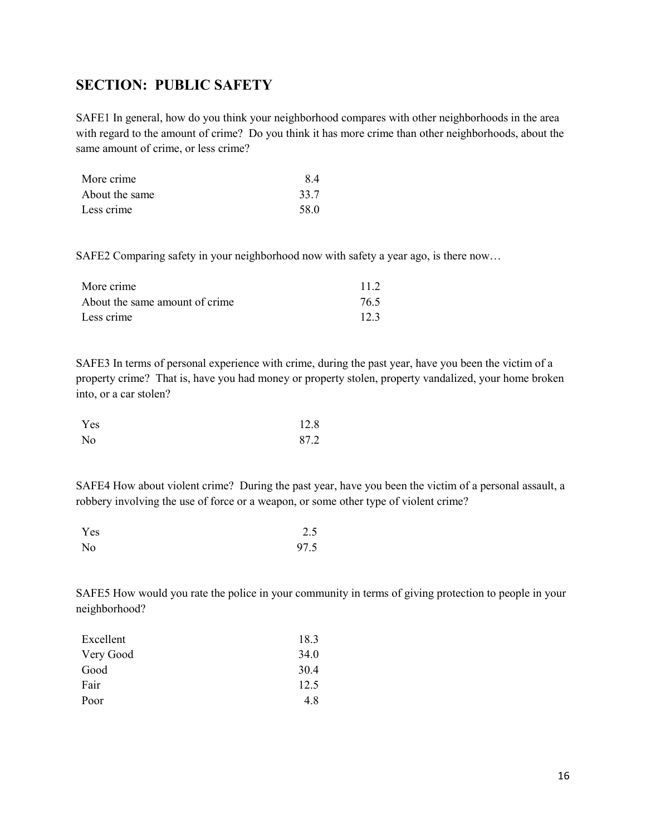## <span id="page-15-0"></span>**SECTION: PUBLIC SAFETY**

SAFE1 In general, how do you think your neighborhood compares with other neighborhoods in the area with regard to the amount of crime? Do you think it has more crime than other neighborhoods, about the same amount of crime, or less crime?

| More crime     | 8.4  |
|----------------|------|
| About the same | 33.7 |
| Less crime     | 58.0 |

SAFE2 Comparing safety in your neighborhood now with safety a year ago, is there now…

| More crime                     | 11.2 |
|--------------------------------|------|
| About the same amount of crime | 76.5 |
| Less crime                     | 12.3 |

SAFE3 In terms of personal experience with crime, during the past year, have you been the victim of a property crime? That is, have you had money or property stolen, property vandalized, your home broken into, or a car stolen?

| Yes            | 12.8 |
|----------------|------|
| N <sub>o</sub> | 87.2 |

SAFE4 How about violent crime? During the past year, have you been the victim of a personal assault, a robbery involving the use of force or a weapon, or some other type of violent crime?

| Yes            | 2.5  |
|----------------|------|
| N <sub>o</sub> | 97.5 |

SAFE5 How would you rate the police in your community in terms of giving protection to people in your neighborhood?

| 18.3 |
|------|
| 34.0 |
| 30.4 |
| 12.5 |
| 4.8  |
|      |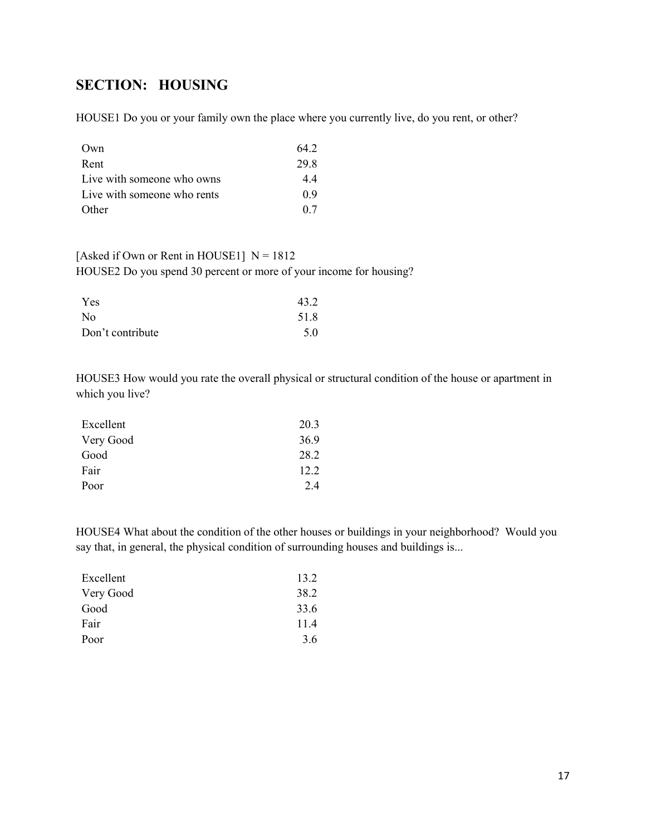# <span id="page-16-0"></span>**SECTION: HOUSING**

HOUSE1 Do you or your family own the place where you currently live, do you rent, or other?

| Own                         | 64.2 |
|-----------------------------|------|
| Rent                        | 29.8 |
| Live with someone who owns  | 4.4  |
| Live with someone who rents | 0.9  |
| Other                       | 0.7  |

## [Asked if Own or Rent in HOUSE1]  $N = 1812$ HOUSE2 Do you spend 30 percent or more of your income for housing?

| Yes              | 43.2 |
|------------------|------|
| N <sub>0</sub>   | 51.8 |
| Don't contribute | 5.0  |

HOUSE3 How would you rate the overall physical or structural condition of the house or apartment in which you live?

| Excellent | 20.3 |
|-----------|------|
| Very Good | 36.9 |
| Good      | 28.2 |
| Fair      | 12.2 |
| Poor      | 2.4  |

HOUSE4 What about the condition of the other houses or buildings in your neighborhood? Would you say that, in general, the physical condition of surrounding houses and buildings is...

| Excellent | 13.2 |
|-----------|------|
| Very Good | 38.2 |
| Good      | 33.6 |
| Fair      | 11.4 |
| Poor      | 3.6  |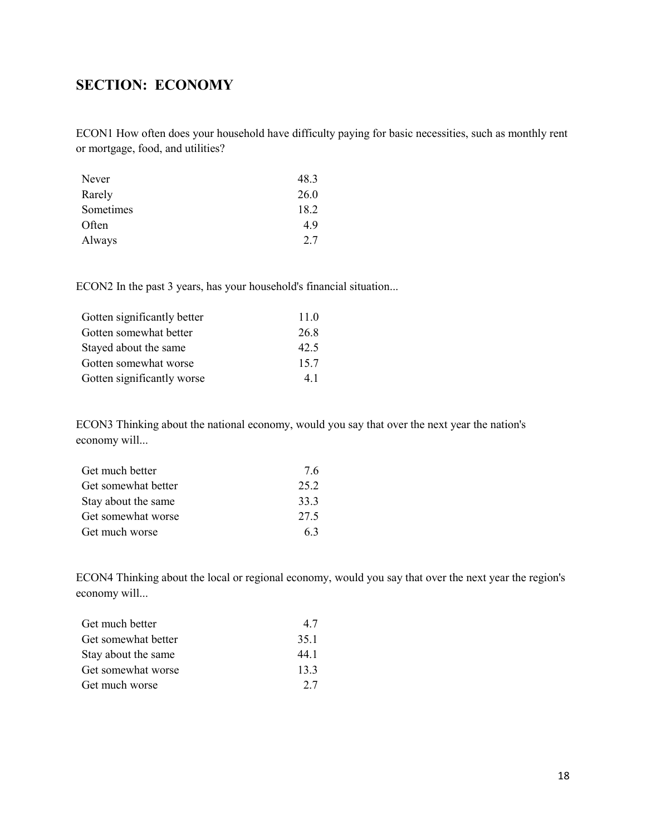# <span id="page-17-0"></span>**SECTION: ECONOMY**

ECON1 How often does your household have difficulty paying for basic necessities, such as monthly rent or mortgage, food, and utilities?

| Never     | 48.3 |
|-----------|------|
| Rarely    | 26.0 |
| Sometimes | 18.2 |
| Often     | 4.9  |
| Always    | 2.7  |

ECON2 In the past 3 years, has your household's financial situation...

| Gotten significantly better | 11.0 |
|-----------------------------|------|
| Gotten somewhat better      | 26.8 |
| Stayed about the same       | 42.5 |
| Gotten somewhat worse       | 15.7 |
| Gotten significantly worse  | 4.1  |
|                             |      |

ECON3 Thinking about the national economy, would you say that over the next year the nation's economy will...

| Get much better     | 7.6  |
|---------------------|------|
| Get somewhat better | 25.2 |
| Stay about the same | 33.3 |
| Get somewhat worse  | 27.5 |
| Get much worse      | 6.3  |

ECON4 Thinking about the local or regional economy, would you say that over the next year the region's economy will...

| Get much better     | 4.7  |
|---------------------|------|
| Get somewhat better | 35.1 |
| Stay about the same | 44.1 |
| Get somewhat worse  | 13.3 |
| Get much worse      | 2.7  |
|                     |      |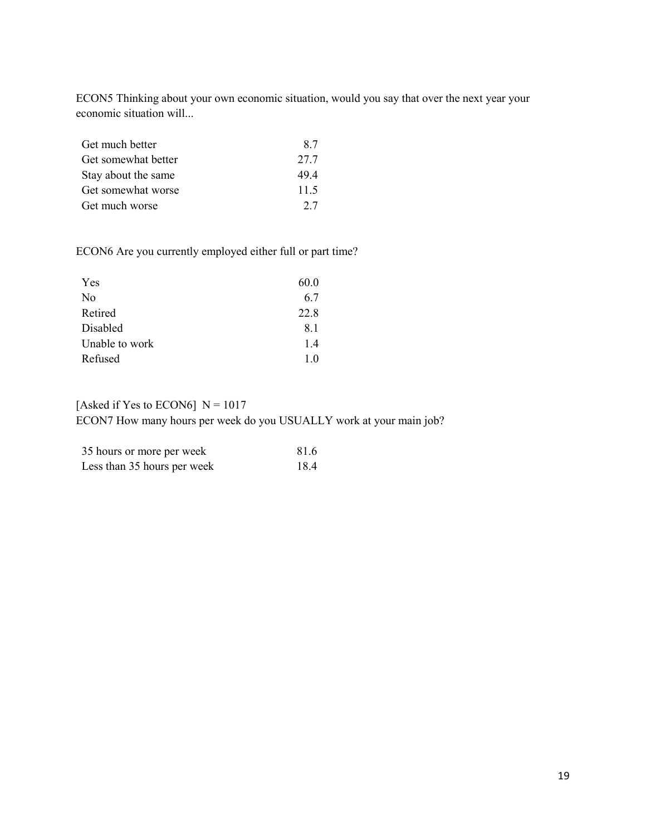ECON5 Thinking about your own economic situation, would you say that over the next year your economic situation will...

| Get much better     | 8.7  |
|---------------------|------|
| Get somewhat better | 27.7 |
| Stay about the same | 49.4 |
| Get somewhat worse  | 11.5 |
| Get much worse      | 27   |

ECON6 Are you currently employed either full or part time?

| 60.0 |
|------|
| 6.7  |
| 22.8 |
| 8.1  |
| 1.4  |
| 1.0  |
|      |

## [Asked if Yes to ECON6]  $N = 1017$

ECON7 How many hours per week do you USUALLY work at your main job?

| 35 hours or more per week   | 81.6 |
|-----------------------------|------|
| Less than 35 hours per week | 18.4 |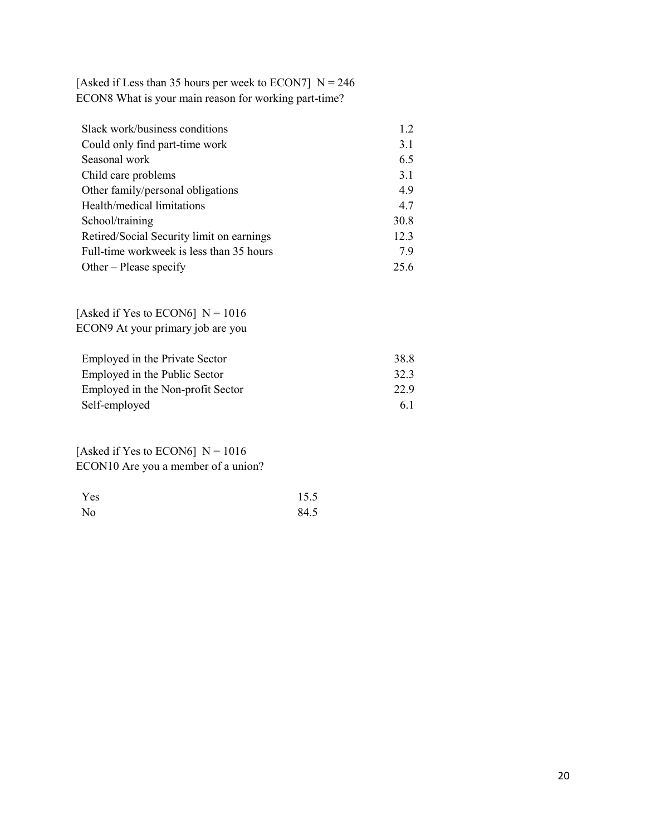[Asked if Less than 35 hours per week to ECON7]  $N = 246$ ECON8 What is your main reason for working part-time?

| Slack work/business conditions            | 1.2  |
|-------------------------------------------|------|
| Could only find part-time work            | 3.1  |
| Seasonal work                             | 6.5  |
| Child care problems                       | 3.1  |
| Other family/personal obligations         | 4.9  |
| Health/medical limitations                | 4.7  |
| School/training                           | 30.8 |
| Retired/Social Security limit on earnings | 12.3 |
| Full-time workweek is less than 35 hours  | 7.9  |
| Other – Please specify                    | 25.6 |

[Asked if Yes to ECON6]  $N = 1016$ ECON9 At your primary job are you

| Employed in the Private Sector    | 38.8 |
|-----------------------------------|------|
| Employed in the Public Sector     | 32.3 |
| Employed in the Non-profit Sector | 22.9 |
| Self-employed                     | 6.1  |

[Asked if Yes to ECON6]  $N = 1016$ ECON10 Are you a member of a union?

| Yes | 15.5 |
|-----|------|
| No  | 84.5 |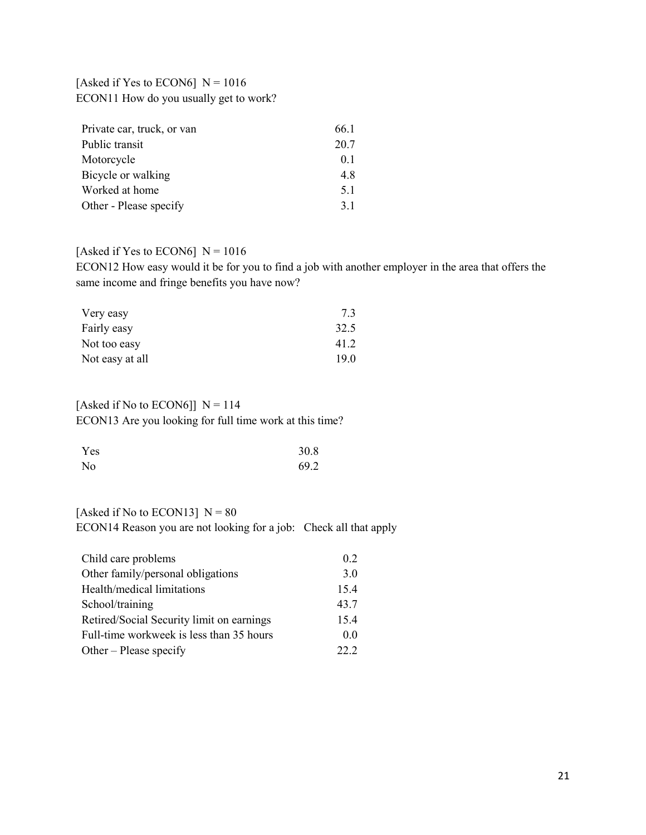### [Asked if Yes to ECON6]  $N = 1016$ ECON11 How do you usually get to work?

| Private car, truck, or van | 66.1 |
|----------------------------|------|
| Public transit             | 20.7 |
| Motorcycle                 | 0.1  |
| Bicycle or walking         | 4.8  |
| Worked at home             | 5.1  |
| Other - Please specify     | 3.1  |

### [Asked if Yes to ECON6]  $N = 1016$

ECON12 How easy would it be for you to find a job with another employer in the area that offers the same income and fringe benefits you have now?

| Very easy       | 7.3  |
|-----------------|------|
| Fairly easy     | 32.5 |
| Not too easy    | 41.2 |
| Not easy at all | 19.0 |

### [Asked if No to ECON6]]  $N = 114$ ECON13 Are you looking for full time work at this time?

| Yes            | 30.8 |
|----------------|------|
| N <sub>o</sub> | 69.2 |

### [Asked if No to ECON13]  $N = 80$ ECON14 Reason you are not looking for a job: Check all that apply

| Child care problems                       | 0.2  |
|-------------------------------------------|------|
| Other family/personal obligations         | 3.0  |
| Health/medical limitations                | 15.4 |
| School/training                           | 43.7 |
| Retired/Social Security limit on earnings | 15.4 |
| Full-time workweek is less than 35 hours  | 0.0  |
| Other – Please specify                    | 22 Z |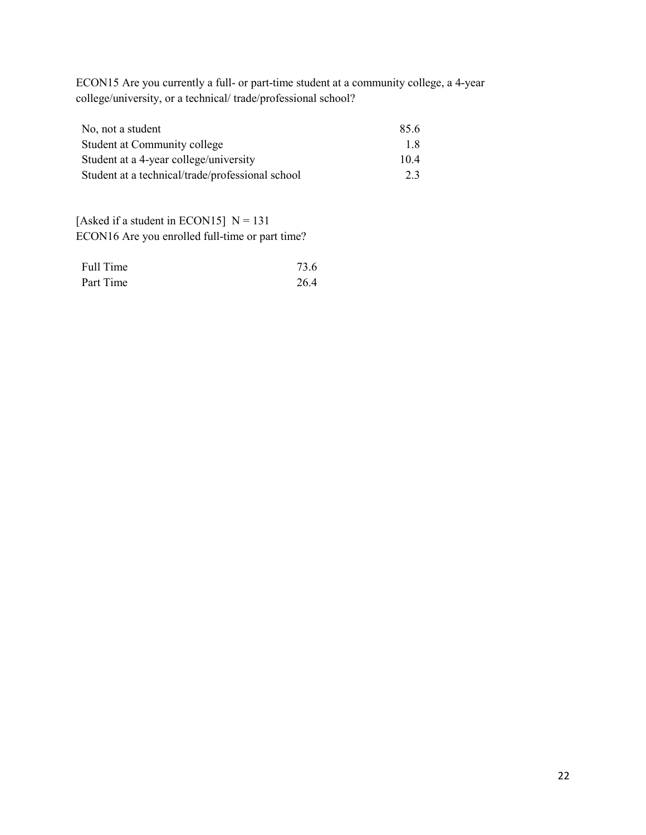ECON15 Are you currently a full- or part-time student at a community college, a 4-year college/university, or a technical/ trade/professional school?

| No, not a student                                | 85.6 |
|--------------------------------------------------|------|
| Student at Community college                     | 1.8  |
| Student at a 4-year college/university           | 10.4 |
| Student at a technical/trade/professional school | 2.3  |

[Asked if a student in ECON15]  $N = 131$ ECON16 Are you enrolled full-time or part time?

| Full Time | 73.6 |
|-----------|------|
| Part Time | 26.4 |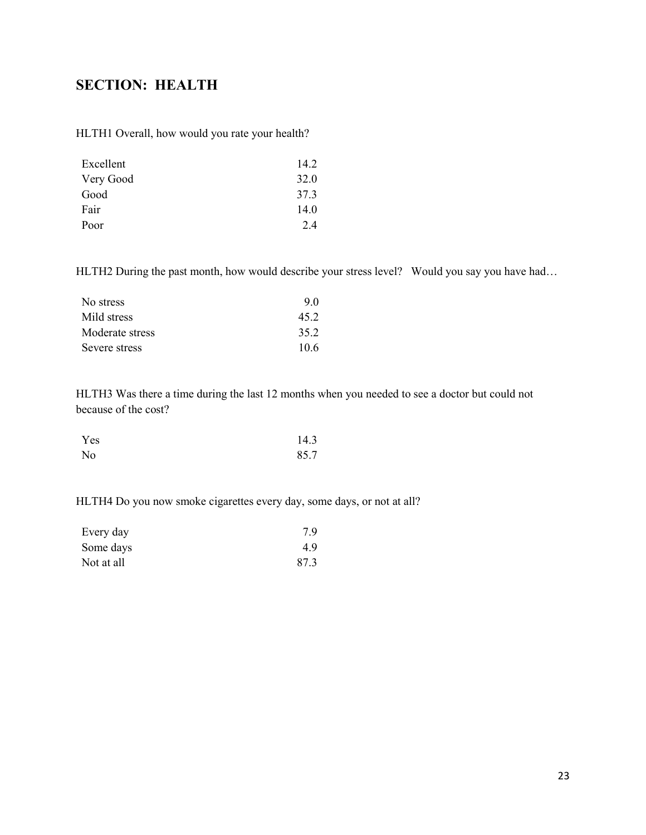# <span id="page-22-0"></span>**SECTION: HEALTH**

HLTH1 Overall, how would you rate your health?

| Excellent | 14.2 |
|-----------|------|
| Very Good | 32.0 |
| Good      | 37.3 |
| Fair      | 14.0 |
| Poor      | 2.4  |

HLTH2 During the past month, how would describe your stress level? Would you say you have had...

| No stress       | 9.0  |
|-----------------|------|
| Mild stress     | 45.2 |
| Moderate stress | 35.2 |
| Severe stress   | 10.6 |

HLTH3 Was there a time during the last 12 months when you needed to see a doctor but could not because of the cost?

| Yes | 14.3 |
|-----|------|
| No  | 85.7 |

HLTH4 Do you now smoke cigarettes every day, some days, or not at all?

| Every day  | 7.9  |
|------------|------|
| Some days  | 4.9  |
| Not at all | 87.3 |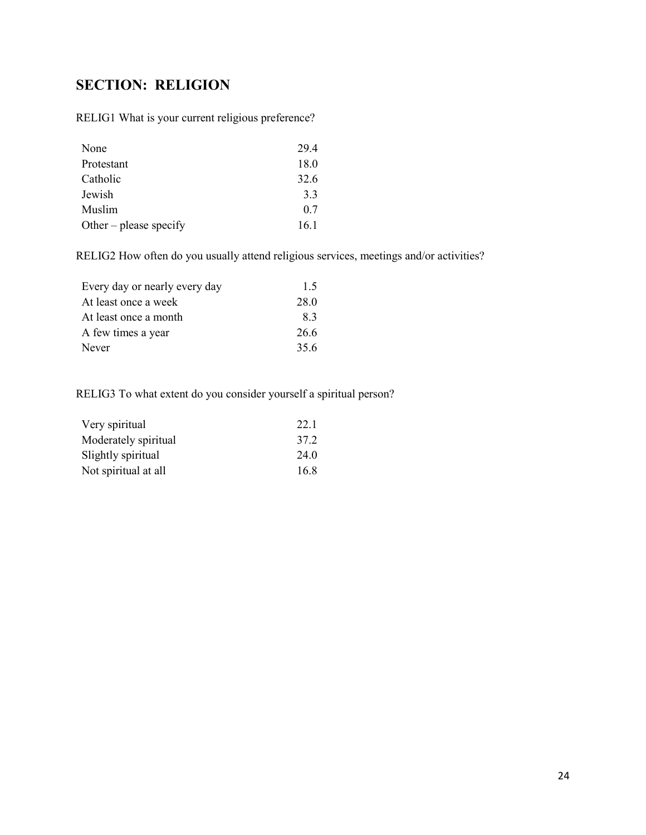# <span id="page-23-0"></span>**SECTION: RELIGION**

RELIG1 What is your current religious preference?

| None                   | 29.4 |
|------------------------|------|
| Protestant             | 18.0 |
| Catholic               | 32.6 |
| Jewish                 | 3.3  |
| Muslim                 | 0.7  |
| Other – please specify | 16.1 |

RELIG2 How often do you usually attend religious services, meetings and/or activities?

| Every day or nearly every day | 1.5  |
|-------------------------------|------|
| At least once a week          | 28.0 |
| At least once a month         | 8.3  |
| A few times a year            | 26.6 |
| Never                         | 35.6 |

RELIG3 To what extent do you consider yourself a spiritual person?

| Very spiritual       | 22.1 |
|----------------------|------|
| Moderately spiritual | 37.2 |
| Slightly spiritual   | 24.0 |
| Not spiritual at all | 16.8 |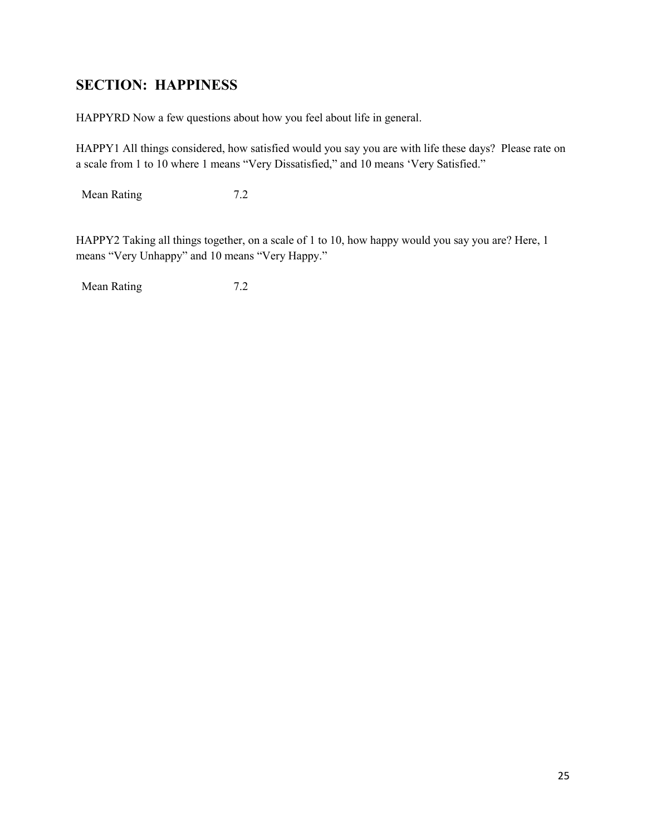# <span id="page-24-0"></span>**SECTION: HAPPINESS**

HAPPYRD Now a few questions about how you feel about life in general.

HAPPY1 All things considered, how satisfied would you say you are with life these days? Please rate on a scale from 1 to 10 where 1 means "Very Dissatisfied," and 10 means 'Very Satisfied."

Mean Rating 7.2

HAPPY2 Taking all things together, on a scale of 1 to 10, how happy would you say you are? Here, 1 means "Very Unhappy" and 10 means "Very Happy."

Mean Rating 7.2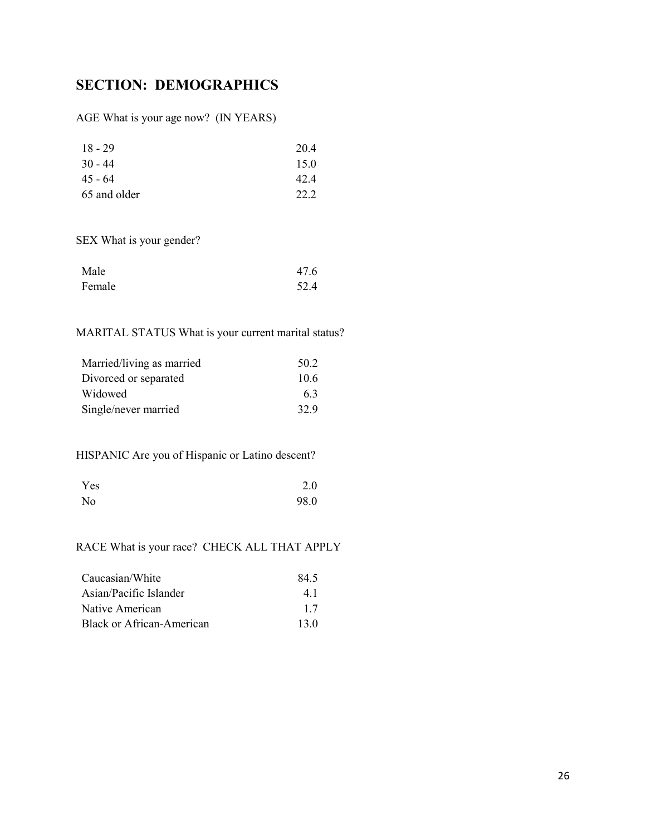# <span id="page-25-0"></span>**SECTION: DEMOGRAPHICS**

AGE What is your age now? (IN YEARS)

| $18 - 29$    | 20.4 |
|--------------|------|
| $30 - 44$    | 15.0 |
| $45 - 64$    | 42.4 |
| 65 and older | 22.2 |

SEX What is your gender?

| Male   | 47.6 |
|--------|------|
| Female | 52.4 |

### MARITAL STATUS What is your current marital status?

| Married/living as married | 50.2 |
|---------------------------|------|
| Divorced or separated     | 10.6 |
| Widowed                   | 63   |
| Single/never married      | 32.9 |

HISPANIC Are you of Hispanic or Latino descent?

| Yes | 2.0  |
|-----|------|
| No  | 98.0 |

## RACE What is your race? CHECK ALL THAT APPLY

| Caucasian/White           | 84.5 |
|---------------------------|------|
| Asian/Pacific Islander    | 4.1  |
| Native American           | 1.7  |
| Black or African-American | 13.0 |